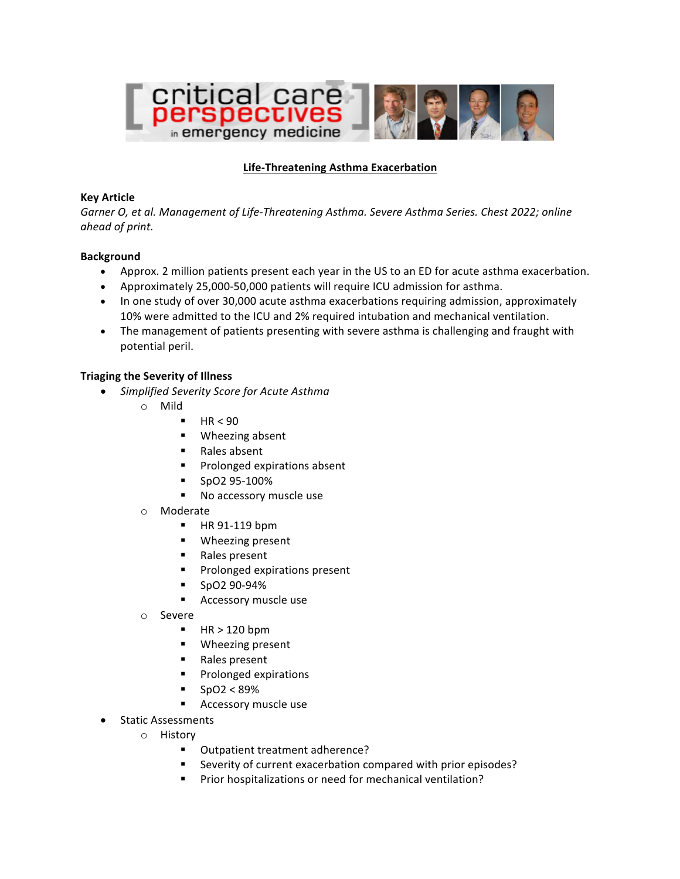

# **Life-Threatening Asthma Exacerbation**

### **Key Article**

Garner O, et al. Management of Life-Threatening Asthma. Severe Asthma Series. Chest 2022; online *ahead of print.*

#### **Background**

- Approx. 2 million patients present each year in the US to an ED for acute asthma exacerbation.
- Approximately 25,000-50,000 patients will require ICU admission for asthma.
- In one study of over 30,000 acute asthma exacerbations requiring admission, approximately 10% were admitted to the ICU and 2% required intubation and mechanical ventilation.
- The management of patients presenting with severe asthma is challenging and fraught with potential peril.

### **Triaging the Severity of Illness**

- *Simplified Severity Score for Acute Asthma*
	- o Mild
		- $H<sub>R</sub> < 90$
		- Wheezing absent
		- Rales absent
		- Prolonged expirations absent
		- § SpO2 95-100%
		- No accessory muscle use
	- o Moderate
		- § HR 91-119 bpm
		- Wheezing present
		- Rales present
		- Prolonged expirations present
		- § SpO2 90-94%
		- Accessory muscle use
	- o Severe
		- $H$  HR  $> 120$  bpm
		- Wheezing present
		- Rales present
		- § Prolonged expirations
		- $SpO2 < 89%$
		- Accessory muscle use
- Static Assessments
	- o History
		- Outpatient treatment adherence?
		- Severity of current exacerbation compared with prior episodes?
		- Prior hospitalizations or need for mechanical ventilation?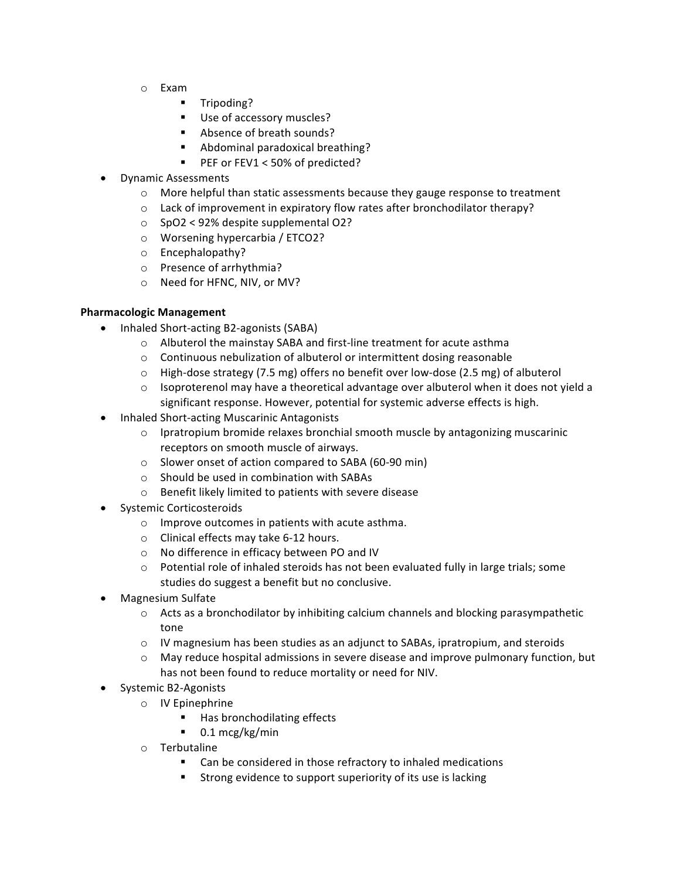- o Exam
	- § Tripoding?
	- Use of accessory muscles?
	- Absence of breath sounds?
	- Abdominal paradoxical breathing?
	- PEF or FEV1 < 50% of predicted?
- Dynamic Assessments
	- $\circ$  More helpful than static assessments because they gauge response to treatment
	- $\circ$  Lack of improvement in expiratory flow rates after bronchodilator therapy?
	- $\circ$  SpO2 < 92% despite supplemental O2?
	- $\circ$  Worsening hypercarbia / ETCO2?
	- o Encephalopathy?
	- o Presence of arrhythmia?
	- o Need for HFNC, NIV, or MV?

### **Pharmacologic Management**

- Inhaled Short-acting B2-agonists (SABA)
	- $\circ$  Albuterol the mainstay SABA and first-line treatment for acute asthma
	- $\circ$  Continuous nebulization of albuterol or intermittent dosing reasonable
	- $\circ$  High-dose strategy (7.5 mg) offers no benefit over low-dose (2.5 mg) of albuterol
	- $\circ$  Isoproterenol may have a theoretical advantage over albuterol when it does not yield a significant response. However, potential for systemic adverse effects is high.
- Inhaled Short-acting Muscarinic Antagonists
	- $\circ$  Ipratropium bromide relaxes bronchial smooth muscle by antagonizing muscarinic receptors on smooth muscle of airways.
	- $\circ$  Slower onset of action compared to SABA (60-90 min)
	- $\circ$  Should be used in combination with SABAs
	- $\circ$  Benefit likely limited to patients with severe disease
- Systemic Corticosteroids
	- $\circ$  Improve outcomes in patients with acute asthma.
	- $\circ$  Clinical effects may take 6-12 hours.
	- o No difference in efficacy between PO and IV
	- $\circ$  Potential role of inhaled steroids has not been evaluated fully in large trials; some studies do suggest a benefit but no conclusive.
- Magnesium Sulfate
	- $\circ$  Acts as a bronchodilator by inhibiting calcium channels and blocking parasympathetic tone
	- $\circ$  IV magnesium has been studies as an adjunct to SABAs, ipratropium, and steroids
	- $\circ$  May reduce hospital admissions in severe disease and improve pulmonary function, but has not been found to reduce mortality or need for NIV.
- Systemic B2-Agonists
	- o IV Epinephrine
		- Has bronchodilating effects
		- $\blacksquare$  0.1 mcg/kg/min
	- o Terbutaline
		- Can be considered in those refractory to inhaled medications
		- Strong evidence to support superiority of its use is lacking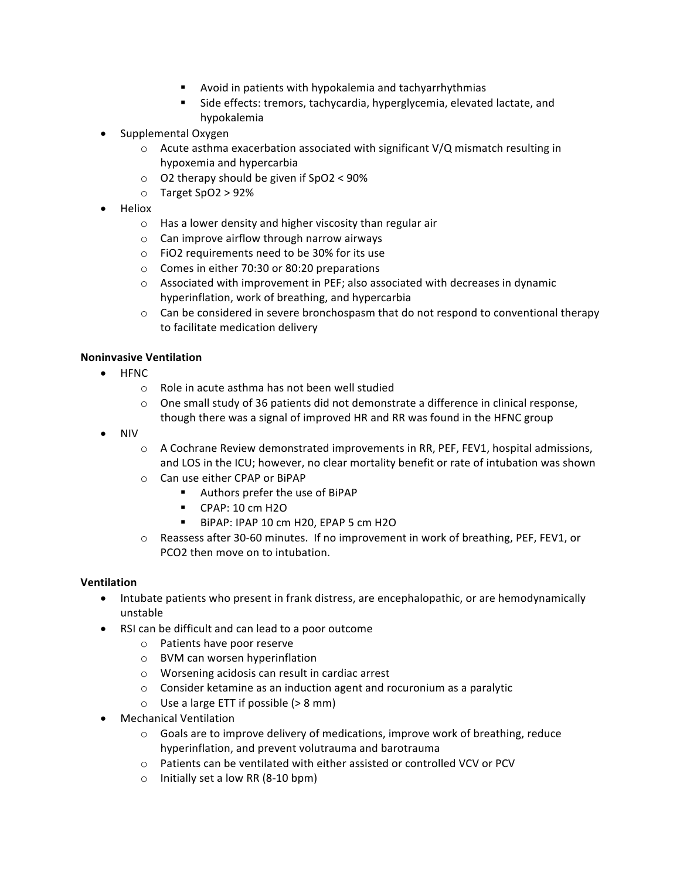- **EXECT:** Avoid in patients with hypokalemia and tachyarrhythmias
- Side effects: tremors, tachycardia, hyperglycemia, elevated lactate, and hypokalemia
- Supplemental Oxygen
	- $\circ$  Acute asthma exacerbation associated with significant V/Q mismatch resulting in hypoxemia and hypercarbia
	- $\circ$  O2 therapy should be given if SpO2 < 90%
	- o Target SpO2 > 92%
- Heliox
	- $\circ$  Has a lower density and higher viscosity than regular air
	- $\circ$  Can improve airflow through narrow airways
	- $\circ$  FiO2 requirements need to be 30% for its use
	- $\circ$  Comes in either 70:30 or 80:20 preparations
	- $\circ$  Associated with improvement in PEF; also associated with decreases in dynamic hyperinflation, work of breathing, and hypercarbia
	- $\circ$  Can be considered in severe bronchospasm that do not respond to conventional therapy to facilitate medication delivery

### **Noninvasive Ventilation**

- HFNC
	- $\circ$  Role in acute asthma has not been well studied
	- $\circ$  One small study of 36 patients did not demonstrate a difference in clinical response, though there was a signal of improved HR and RR was found in the HFNC group
- NIV
	- $\circ$  A Cochrane Review demonstrated improvements in RR, PEF, FEV1, hospital admissions, and LOS in the ICU; however, no clear mortality benefit or rate of intubation was shown
	- o Can use either CPAP or BiPAP
		- Authors prefer the use of BiPAP
		- CPAP: 10 cm H2O
		- BiPAP: IPAP 10 cm H20, EPAP 5 cm H2O
	- $\circ$  Reassess after 30-60 minutes. If no improvement in work of breathing, PEF, FEV1, or PCO<sub>2</sub> then move on to intubation.

### **Ventilation**

- Intubate patients who present in frank distress, are encephalopathic, or are hemodynamically unstable
- RSI can be difficult and can lead to a poor outcome
	- $\circ$  Patients have poor reserve
	- $\circ$  BVM can worsen hyperinflation
	- $\circ$  Worsening acidosis can result in cardiac arrest
	- $\circ$  Consider ketamine as an induction agent and rocuronium as a paralytic
	- $\circ$  Use a large ETT if possible ( $> 8$  mm)
- Mechanical Ventilation
	- $\circ$  Goals are to improve delivery of medications, improve work of breathing, reduce hyperinflation, and prevent volutrauma and barotrauma
	- o Patients can be ventilated with either assisted or controlled VCV or PCV
	- $\circ$  Initially set a low RR (8-10 bpm)